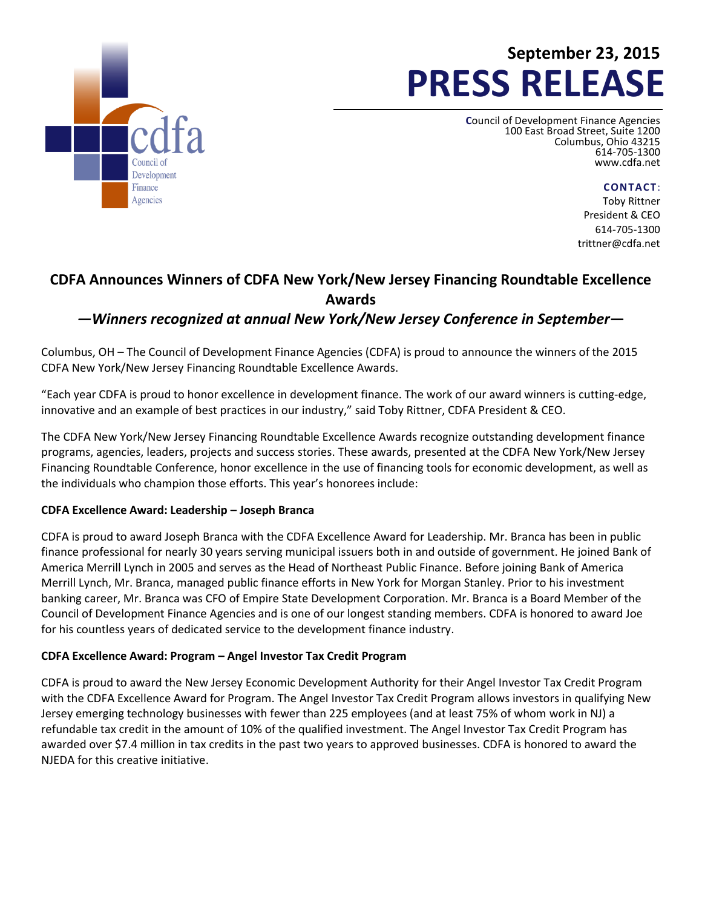

# **September 23, 2015 PRESS RELEASE**

**C**ouncil of Development Finance Agencies 100 East Broad Street, Suite 1200 Columbus, Ohio 43215 614-705-1300 [www.cdfa.net](http://www.cdfa.net/)

**CONTACT**:

Toby Rittner President & CEO 614-705-1300 trittner@cdfa.net

## **CDFA Announces Winners of CDFA New York/New Jersey Financing Roundtable Excellence Awards**

### *—Winners recognized at annual New York/New Jersey Conference in September***—**

Columbus, OH – The Council of Development Finance Agencies (CDFA) is proud to announce the winners of the 2015 CDFA New York/New Jersey Financing Roundtable Excellence Awards.

"Each year CDFA is proud to honor excellence in development finance. The work of our award winners is cutting-edge, innovative and an example of best practices in our industry," said Toby Rittner, CDFA President & CEO.

The CDFA New York/New Jersey Financing Roundtable Excellence Awards recognize outstanding development finance programs, agencies, leaders, projects and success stories. These awards, presented at the CDFA New York/New Jersey Financing Roundtable Conference, honor excellence in the use of financing tools for economic development, as well as the individuals who champion those efforts. This year's honorees include:

#### **CDFA Excellence Award: Leadership – Joseph Branca**

CDFA is proud to award Joseph Branca with the CDFA Excellence Award for Leadership. Mr. Branca has been in public finance professional for nearly 30 years serving municipal issuers both in and outside of government. He joined Bank of America Merrill Lynch in 2005 and serves as the Head of Northeast Public Finance. Before joining Bank of America Merrill Lynch, Mr. Branca, managed public finance efforts in New York for Morgan Stanley. Prior to his investment banking career, Mr. Branca was CFO of Empire State Development Corporation. Mr. Branca is a Board Member of the Council of Development Finance Agencies and is one of our longest standing members. CDFA is honored to award Joe for his countless years of dedicated service to the development finance industry.

#### **CDFA Excellence Award: Program – Angel Investor Tax Credit Program**

CDFA is proud to award the New Jersey Economic Development Authority for their Angel Investor Tax Credit Program with the CDFA Excellence Award for Program. The Angel Investor Tax Credit Program allows investors in qualifying New Jersey emerging technology businesses with fewer than 225 employees (and at least 75% of whom work in NJ) a refundable tax credit in the amount of 10% of the qualified investment. The Angel Investor Tax Credit Program has awarded over \$7.4 million in tax credits in the past two years to approved businesses. CDFA is honored to award the NJEDA for this creative initiative.